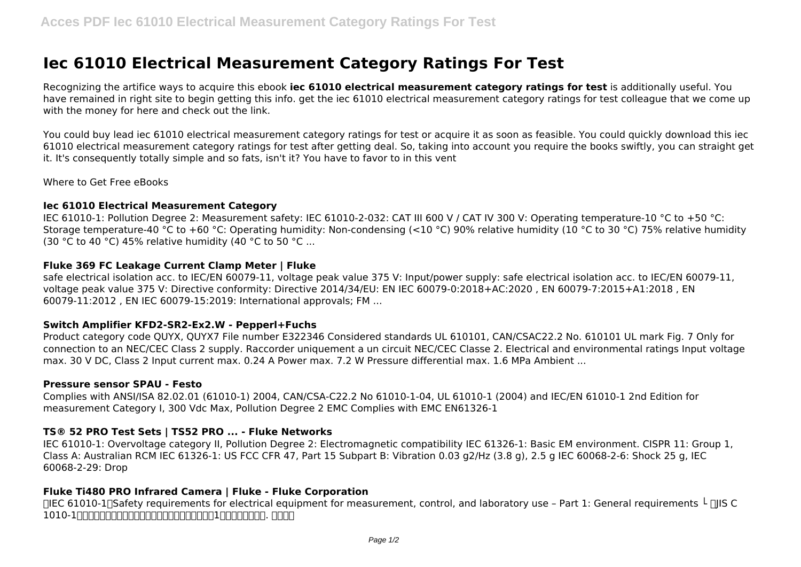# **Iec 61010 Electrical Measurement Category Ratings For Test**

Recognizing the artifice ways to acquire this ebook **iec 61010 electrical measurement category ratings for test** is additionally useful. You have remained in right site to begin getting this info. get the iec 61010 electrical measurement category ratings for test colleague that we come up with the money for here and check out the link.

You could buy lead iec 61010 electrical measurement category ratings for test or acquire it as soon as feasible. You could quickly download this iec 61010 electrical measurement category ratings for test after getting deal. So, taking into account you require the books swiftly, you can straight get it. It's consequently totally simple and so fats, isn't it? You have to favor to in this vent

Where to Get Free eBooks

#### **Iec 61010 Electrical Measurement Category**

IEC 61010-1: Pollution Degree 2: Measurement safety: IEC 61010-2-032: CAT III 600 V / CAT IV 300 V: Operating temperature-10 °C to +50 °C: Storage temperature-40 °C to +60 °C: Operating humidity: Non-condensing (<10 °C) 90% relative humidity (10 °C to 30 °C) 75% relative humidity (30 °C to 40 °C) 45% relative humidity (40 °C to 50 °C ...

## **Fluke 369 FC Leakage Current Clamp Meter | Fluke**

safe electrical isolation acc. to IEC/EN 60079-11, voltage peak value 375 V: Input/power supply: safe electrical isolation acc. to IEC/EN 60079-11, voltage peak value 375 V: Directive conformity: Directive 2014/34/EU: EN IEC 60079-0:2018+AC:2020 , EN 60079-7:2015+A1:2018 , EN 60079-11:2012 , EN IEC 60079-15:2019: International approvals; FM ...

#### **Switch Amplifier KFD2-SR2-Ex2.W - Pepperl+Fuchs**

Product category code QUYX, QUYX7 File number E322346 Considered standards UL 610101, CAN/CSAC22.2 No. 610101 UL mark Fig. 7 Only for connection to an NEC/CEC Class 2 supply. Raccorder uniquement a un circuit NEC/CEC Classe 2. Electrical and environmental ratings Input voltage max. 30 V DC, Class 2 Input current max. 0.24 A Power max. 7.2 W Pressure differential max. 1.6 MPa Ambient ...

#### **Pressure sensor SPAU - Festo**

Complies with ANSI/ISA 82.02.01 (61010-1) 2004, CAN/CSA-C22.2 No 61010-1-04, UL 61010-1 (2004) and IEC/EN 61010-1 2nd Edition for measurement Category I, 300 Vdc Max, Pollution Degree 2 EMC Complies with EMC EN61326-1

# **TS® 52 PRO Test Sets | TS52 PRO ... - Fluke Networks**

IEC 61010-1: Overvoltage category II, Pollution Degree 2: Electromagnetic compatibility IEC 61326-1: Basic EM environment. CISPR 11: Group 1, Class A: Australian RCM IEC 61326-1: US FCC CFR 47, Part 15 Subpart B: Vibration 0.03 g2/Hz (3.8 g), 2.5 g IEC 60068-2-6: Shock 25 g, IEC 60068-2-29: Drop

# **Fluke Ti480 PRO Infrared Camera | Fluke - Fluke Corporation**

 $\Box$ IEC 61010-1 $\Box$ Safety requirements for electrical equipment for measurement, control, and laboratory use – Part 1: General requirements  $\bot$   $\Box$ IS C 1010-1:測定用,制御用及び試験室用電気機器の安全性-第1部:一般要求事項. 関連図書